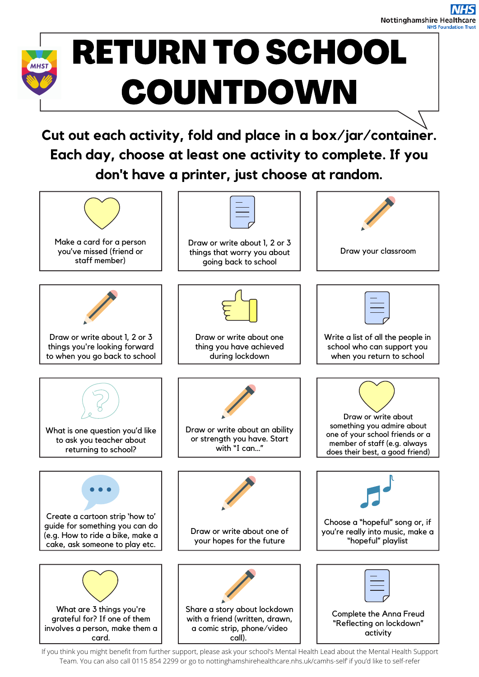

**Cut out each activity, fold and place in a box/jar/container. Each day, choose at least one activity to complete. If you don't have a printer, just choose at random.**



If you think you might benefit from further support, please ask your school's Mental Health Lead about the Mental Health Support Team. You can also call 0115 854 2299 or go to nottinghamshirehealthcare.nhs.uk/camhs-self' if you'd like to self-refer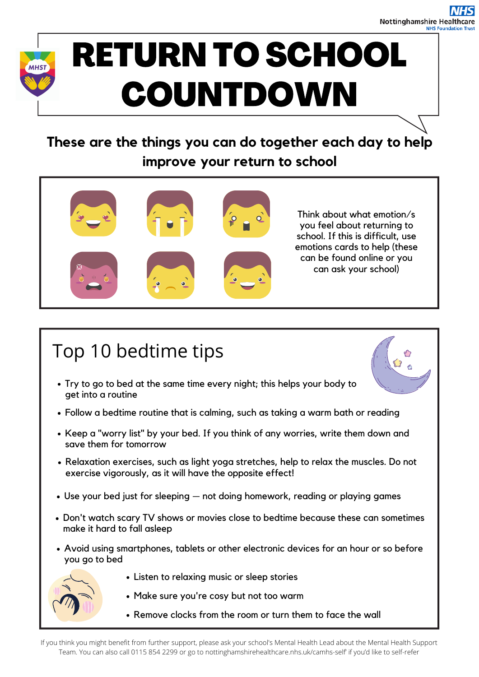

# RETURN TO SCHOOL COUNTDOWN



**These are the things you can do together each day to help improve your return to school**

- Listen to relaxing music or sleep stories
- Make sure you're cosy but not too warm
- Remove clocks from the room or turn them to face the wall
- 
- Try to go to bed at the same time every night; this helps your body to get into a routine
- Follow a bedtime routine that is calming, such as taking a warm bath or reading
- Keep a "worry list" by your bed. If you think of any worries, write them down and save them for tomorrow
- Relaxation exercises, such as light yoga stretches, help to relax the muscles. Do not exercise vigorously, as it will have the opposite effect!
- Use your bed just for sleeping not doing homework, reading or playing games
- Don't watch scary TV shows or movies close to bedtime because these can sometimes make it hard to fall asleep
- Avoid using smartphones, tablets or other electronic devices for an hour or so before you go to bed



### Top 10 bedtime tips



If you think you might benefit from further support, please ask your school's Mental Health Lead about the Mental Health Support Team. You can also call 0115 854 2299 or go to nottinghamshirehealthcare.nhs.uk/camhs-self' if you'd like to self-refer